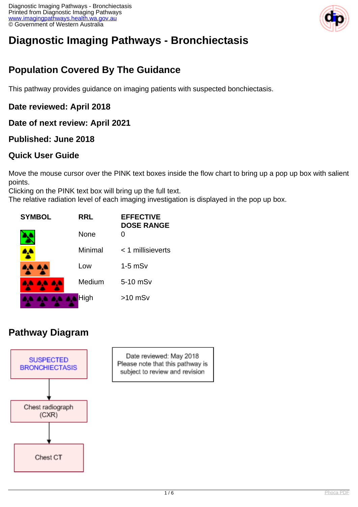

# **Diagnostic Imaging Pathways - Bronchiectasis**

## **Population Covered By The Guidance**

This pathway provides guidance on imaging patients with suspected bonchiectasis.

### **Date reviewed: April 2018**

**Date of next review: April 2021**

### **Published: June 2018**

### **Quick User Guide**

Move the mouse cursor over the PINK text boxes inside the flow chart to bring up a pop up box with salient points.

Clicking on the PINK text box will bring up the full text.

The relative radiation level of each imaging investigation is displayed in the pop up box.



### **Pathway Diagram**



Date reviewed: May 2018 Please note that this pathway is subject to review and revision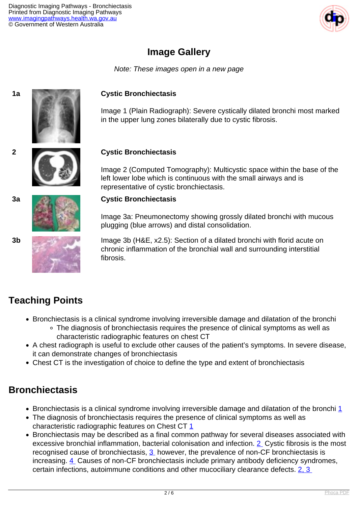

### **Image Gallery**

Note: These images open in a new page



#### **1a Cystic Bronchiectasis**

Image 1 (Plain Radiograph): Severe cystically dilated bronchi most marked in the upper lung zones bilaterally due to cystic fibrosis.

#### **2 Cystic Bronchiectasis**

Image 2 (Computed Tomography): Multicystic space within the base of the left lower lobe which is continuous with the small airways and is representative of cystic bronchiectasis.

#### **3a Cystic Bronchiectasis**

Image 3a: Pneumonectomy showing grossly dilated bronchi with mucous plugging (blue arrows) and distal consolidation.

**3b** Image 3b (H&E, x2.5): Section of a dilated bronchi with florid acute on chronic inflammation of the bronchial wall and surrounding interstitial fibrosis.

### **Teaching Points**

- Bronchiectasis is a clinical syndrome involving irreversible damage and dilatation of the bronchi
	- The diagnosis of bronchiectasis requires the presence of clinical symptoms as well as characteristic radiographic features on chest CT
- A chest radiograph is useful to exclude other causes of the patient's symptoms. In severe disease, it can demonstrate changes of bronchiectasis
- Chest CT is the investigation of choice to define the type and extent of bronchiectasis

### **Bronchiectasis**

- $\bullet$  Bronchiectasis is a clinical syndrome involving irreversible damage and dilatation of the bronchi  $1$
- The diagnosis of bronchiectasis requires the presence of clinical symptoms as well as characteristic radiographic features on Chest CT [1](index.php?option=com_content&view=article&id=132&tab=references)
- Bronchiectasis may be described as a final common pathway for several diseases associated with excessive bronchial inflammation, bacterial colonisation and infection. [2](index.php?option=com_content&view=article&id=132&tab=references) Cystic fibrosis is the most recognised cause of bronchiectasis, [3](index.php?option=com_content&view=article&id=132&tab=references) however, the prevalence of non-CF bronchiectasis is increasing. [4](index.php?option=com_content&view=article&id=132&tab=references) Causes of non-CF bronchiectasis include primary antibody deficiency syndromes, certain infections, autoimmune conditions and other mucociliary clearance defects. [2, 3](index.php?option=com_content&view=article&id=132&tab=references)





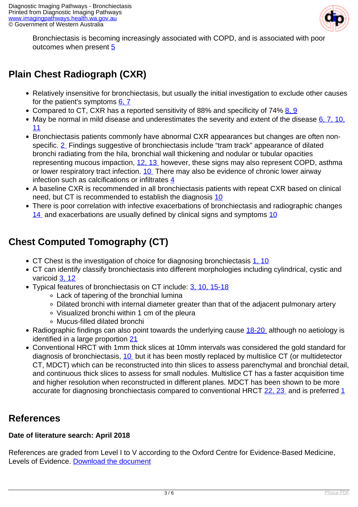

Bronchiectasis is becoming increasingly associated with COPD, and is associated with poor outcomes when present [5](index.php?option=com_content&view=article&id=132&tab=references)

# **Plain Chest Radiograph (CXR)**

- Relatively insensitive for bronchiectasis, but usually the initial investigation to exclude other causes for the patient's symptoms  $6, 7$
- Compared to CT, CXR has a reported sensitivity of 88% and specificity of 74% [8, 9](index.php?option=com_content&view=article&id=132&tab=references)
- May be normal in mild disease and underestimates the severity and extent of the disease  $6, 7, 10$ , [11](index.php?option=com_content&view=article&id=132&tab=references)
- Bronchiectasis patients commonly have abnormal CXR appearances but changes are often nonspecific. [2](index.php?option=com_content&view=article&id=132&tab=references) Findings suggestive of bronchiectasis include "tram track" appearance of dilated bronchi radiating from the hila, bronchial wall thickening and nodular or tubular opacities representing mucous impaction, [12, 13](index.php?option=com_content&view=article&id=132&tab=references) however, these signs may also represent COPD, asthma or lower respiratory tract infection. [10](index.php?option=com_content&view=article&id=132&tab=references) There may also be evidence of chronic lower airway infection such as calcifications or infiltrates [4](index.php?option=com_content&view=article&id=132&tab=references)
- A baseline CXR is recommended in all bronchiectasis patients with repeat CXR based on clinical need, but CT is recommended to establish the diagnosis [10](index.php?option=com_content&view=article&id=132&tab=references)
- There is poor correlation with infective exacerbations of bronchiectasis and radiographic changes [14](index.php?option=com_content&view=article&id=132&tab=references) and exacerbations are usually defined by clinical signs and symptoms [10](index.php?option=com_content&view=article&id=132&tab=references)

# **Chest Computed Tomography (CT)**

- CT Chest is the investigation of choice for diagnosing bronchiectasis [1, 10](index.php?option=com_content&view=article&id=132&tab=references)
- CT can identify classify bronchiectasis into different morphologies including cylindrical, cystic and varicoid [3, 12](index.php?option=com_content&view=article&id=132&tab=references)
- Typical features of bronchiectasis on CT include: [3, 10, 15-18](index.php?option=com_content&view=article&id=132&tab=references)
	- Lack of tapering of the bronchial lumina
	- Dilated bronchi with internal diameter greater than that of the adjacent pulmonary artery
	- Visualized bronchi within 1 cm of the pleura
	- Mucus-filled dilated bronchi
- Radiographic findings can also point towards the underlying cause [18-20](index.php?option=com_content&view=article&id=132&tab=references) although no aetiology is identified in a large proportion [21](index.php?option=com_content&view=article&id=132&tab=references)
- Conventional HRCT with 1mm thick slices at 10mm intervals was considered the gold standard for diagnosis of bronchiectasis, [10](index.php?option=com_content&view=article&id=132&tab=references) but it has been mostly replaced by multislice CT (or multidetector CT, MDCT) which can be reconstructed into thin slices to assess parenchymal and bronchial detail, and continuous thick slices to assess for small nodules. Multislice CT has a faster acquisition time and higher resolution when reconstructed in different planes. MDCT has been shown to be more accurate for diagnosing bronchiectasis compared to conventional HRCT [22, 23](index.php?option=com_content&view=article&id=132&tab=references) and is preferred [1](index.php?option=com_content&view=article&id=132&tab=references)

### **References**

#### **Date of literature search: April 2018**

References are graded from Level I to V according to the Oxford Centre for Evidence-Based Medicine, Levels of Evidence. [Download the document](http://www.cebm.net/wp-content/uploads/2014/06/CEBM-Levels-of-Evidence-2.1.pdf)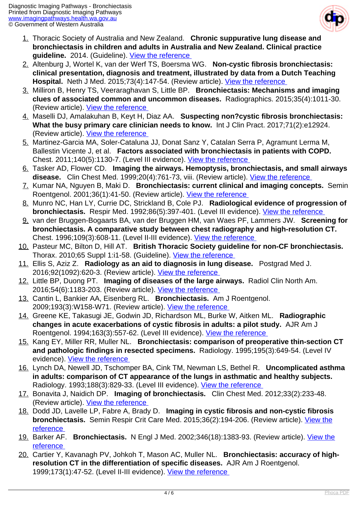

- 1. Thoracic Society of Australia and New Zealand. **Chronic suppurative lung disease and bronchiectasis in children and adults in Australia and New Zealand. Clinical practice** guideline. 2014. (Guideline). View the reference
- 2. Altenburg J, Wortel K, van der Werf TS, Boersma WG. **Non-cystic fibrosis bronchiectasis: clinical presentation, diagnosis and treatment, illustrated by data from a Dutch Teaching Hospital.** Neth J Med. 2015;73(4):147-54. (Review article). View the reference
- 3. Milliron B, Henry TS, Veeraraghavan S, Little BP. **Bronchiectasis: Mechanisms and imaging clues of associated common and uncommon diseases.** Radiographics. 2015;35(4):1011-30. (Review article). [View the reference](https://pubs.rsna.org/doi/abs/10.1148/rg.2015140214 )
- 4. Maselli DJ, Amalakuhan B, Keyt H, Diaz AA. **Suspecting non?cystic fibrosis bronchiectasis: What the busy primary care clinician needs to know.** Int J Clin Pract. 2017;71(2):e12924. (Review article). [View the reference](http://www.ncbi.nlm.nih.gov/pmc/articles/PMC5396137/ )
- 5. Martinez-Garcia MA, Soler-Cataluna JJ, Donat Sanz Y, Catalan Serra P, Agramunt Lerma M, Ballestin Vicente J, et al. **Factors associated with bronchiectasis in patients with COPD.**  Chest. 2011;140(5):1130-7. (Level III evidence). [View the reference](https://www.ncbi.nlm.nih.gov/pubmed/21546440 )
- 6. Tasker AD, Flower CD. **Imaging the airways. Hemoptysis, bronchiectasis, and small airways** disease. Clin Chest Med. 1999;20(4):761-73, viii. (Review article). *View the reference*
- 7. Kumar NA, Nguyen B, Maki D. **Bronchiectasis: current clinical and imaging concepts.** Semin Roentgenol. 2001;36(1):41-50. (Review article). [View the reference](https://www.ncbi.nlm.nih.gov/pubmed/11204758 )
- 8. Munro NC, Han LY, Currie DC, Strickland B, Cole PJ. **Radiological evidence of progression of bronchiectasis.** Respir Med. 1992;86(5):397-401. (Level III evidence). [View the reference](https://www.ncbi.nlm.nih.gov/pubmed/1462019 )
- 9. van der Bruggen-Bogaarts BA, van der Bruggen HM, van Waes PF, Lammers JW. **Screening for bronchiectasis. A comparative study between chest radiography and high-resolution CT.**  Chest. 1996;109(3):608-11. (Level II-III evidence). [View the reference](https://www.ncbi.nlm.nih.gov/pubmed/8617064 )
- 10. Pasteur MC, Bilton D, Hill AT. **British Thoracic Society guideline for non-CF bronchiectasis.**  Thorax. 2010;65 Suppl 1:i1-58. (Guideline). View the reference
- 11. Ellis S, Aziz Z. **Radiology as an aid to diagnosis in lung disease.** Postgrad Med J. 2016;92(1092):620-3. (Review article). [View the reference](https://www.ncbi.nlm.nih.gov/pubmed/27535941 )
- 12. Little BP, Duong PT. **Imaging of diseases of the large airways.** Radiol Clin North Am. 2016;54(6):1183-203. (Review article). [View the reference](https://www.ncbi.nlm.nih.gov/pubmed/27719983 )
- 13. Cantin L, Bankier AA, Eisenberg RL. **Bronchiectasis.** Am J Roentgenol. 2009;193(3):W158-W71. (Review article). [View the reference](https://doi.org/10.2214/AJR.09.3053 )
- 14. Greene KE, Takasugi JE, Godwin JD, Richardson ML, Burke W, Aitken ML. **Radiographic changes in acute exacerbations of cystic fibrosis in adults: a pilot study.** AJR Am J Roentgenol. 1994;163(3):557-62. (Level III evidence). [View the reference](https://www.ncbi.nlm.nih.gov/pubmed/8079843 )
- 15. Kang EY, Miller RR, Muller NL. **Bronchiectasis: comparison of preoperative thin-section CT and pathologic findings in resected specimens.** Radiology. 1995;195(3):649-54. (Level IV evidence). [View the reference](https://www.ncbi.nlm.nih.gov/pubmed/7753989 )
- 16. Lynch DA, Newell JD, Tschomper BA, Cink TM, Newman LS, Bethel R. **Uncomplicated asthma in adults: comparison of CT appearance of the lungs in asthmatic and healthy subjects.**  Radiology. 1993;188(3):829-33. (Level III evidence). [View the reference](https://www.ncbi.nlm.nih.gov/pubmed/8351357 )
- 17. Bonavita J, Naidich DP. **Imaging of bronchiectasis.** Clin Chest Med. 2012;33(2):233-48. (Review article). [View the reference](https://www.ncbi.nlm.nih.gov/pubmed/22640843 )
- 18. Dodd JD, Lavelle LP, Fabre A, Brady D. **Imaging in cystic fibrosis and non-cystic fibrosis bronchiectasis.** Semin Respir Crit Care Med. 2015;36(2):194-206. (Review article). [View the](https://www.ncbi.nlm.nih.gov/pubmed/25826587 ) [reference](https://www.ncbi.nlm.nih.gov/pubmed/25826587 )
- 19. Barker AF. **Bronchiectasis.** N Engl J Med. 2002;346(18):1383-93. (Review article). [View the](https://www.ncbi.nlm.nih.gov/pubmed/11986413 ) [reference](https://www.ncbi.nlm.nih.gov/pubmed/11986413 )
- 20. Cartier Y, Kavanagh PV, Johkoh T, Mason AC, Muller NL. **Bronchiectasis: accuracy of highresolution CT in the differentiation of specific diseases.** AJR Am J Roentgenol. 1999;173(1):47-52. (Level II-III evidence). View the reference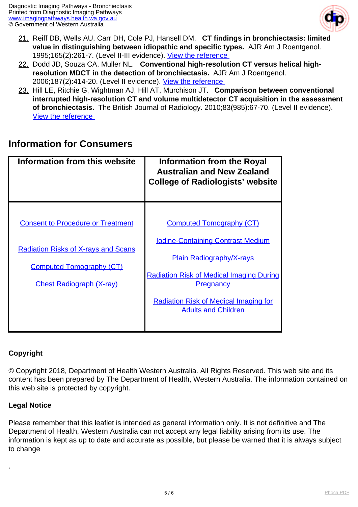

- 21. Reiff DB, Wells AU, Carr DH, Cole PJ, Hansell DM. **CT findings in bronchiectasis: limited value in distinguishing between idiopathic and specific types.** AJR Am J Roentgenol. 1995;165(2):261-7. (Level II-III evidence). View the reference
- 22. Dodd JD, Souza CA, Muller NL. **Conventional high-resolution CT versus helical highresolution MDCT in the detection of bronchiectasis.** AJR Am J Roentgenol. 2006;187(2):414-20. (Level II evidence). [View the reference](https://www.ncbi.nlm.nih.gov/pubmed/16861546 )
- 23. Hill LE, Ritchie G, Wightman AJ, Hill AT, Murchison JT. **Comparison between conventional interrupted high-resolution CT and volume multidetector CT acquisition in the assessment of bronchiectasis.** The British Journal of Radiology. 2010;83(985):67-70. (Level II evidence). [View the reference](lihttp://www.ncbi.nlm.nih.gov/pmc/articles/PMC3486721/nk )

### **Information for Consumers**

| Information from this website                                                                                             | <b>Information from the Royal</b><br><b>Australian and New Zealand</b><br><b>College of Radiologists' website</b>                                                 |
|---------------------------------------------------------------------------------------------------------------------------|-------------------------------------------------------------------------------------------------------------------------------------------------------------------|
| <b>Consent to Procedure or Treatment</b><br><b>Radiation Risks of X-rays and Scans</b><br><b>Computed Tomography (CT)</b> | <b>Computed Tomography (CT)</b><br><b>Iodine-Containing Contrast Medium</b><br><b>Plain Radiography/X-rays</b><br><b>Radiation Risk of Medical Imaging During</b> |
| <b>Chest Radiograph (X-ray)</b>                                                                                           | <b>Pregnancy</b><br><b>Radiation Risk of Medical Imaging for</b><br><b>Adults and Children</b>                                                                    |

#### **Copyright**

© Copyright 2018, Department of Health Western Australia. All Rights Reserved. This web site and its content has been prepared by The Department of Health, Western Australia. The information contained on this web site is protected by copyright.

#### **Legal Notice**

.

Please remember that this leaflet is intended as general information only. It is not definitive and The Department of Health, Western Australia can not accept any legal liability arising from its use. The information is kept as up to date and accurate as possible, but please be warned that it is always subject to change